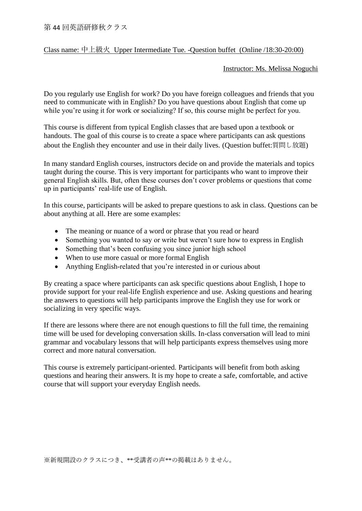## Class name: 中上級火 Upper Intermediate Tue. -Question buffet (Online /18:30-20:00)

## Instructor: Ms. Melissa Noguchi

Do you regularly use English for work? Do you have foreign colleagues and friends that you need to communicate with in English? Do you have questions about English that come up while you're using it for work or socializing? If so, this course might be perfect for you.

This course is different from typical English classes that are based upon a textbook or handouts. The goal of this course is to create a space where participants can ask questions about the English they encounter and use in their daily lives. (Question buffet:質問し放題)

In many standard English courses, instructors decide on and provide the materials and topics taught during the course. This is very important for participants who want to improve their general English skills. But, often these courses don't cover problems or questions that come up in participants' real-life use of English.

In this course, participants will be asked to prepare questions to ask in class. Questions can be about anything at all. Here are some examples:

- The meaning or nuance of a word or phrase that you read or heard
- Something you wanted to say or write but weren't sure how to express in English
- Something that's been confusing you since junior high school
- When to use more casual or more formal English
- Anything English-related that you're interested in or curious about

By creating a space where participants can ask specific questions about English, I hope to provide support for your real-life English experience and use. Asking questions and hearing the answers to questions will help participants improve the English they use for work or socializing in very specific ways.

If there are lessons where there are not enough questions to fill the full time, the remaining time will be used for developing conversation skills. In-class conversation will lead to mini grammar and vocabulary lessons that will help participants express themselves using more correct and more natural conversation.

This course is extremely participant-oriented. Participants will benefit from both asking questions and hearing their answers. It is my hope to create a safe, comfortable, and active course that will support your everyday English needs.